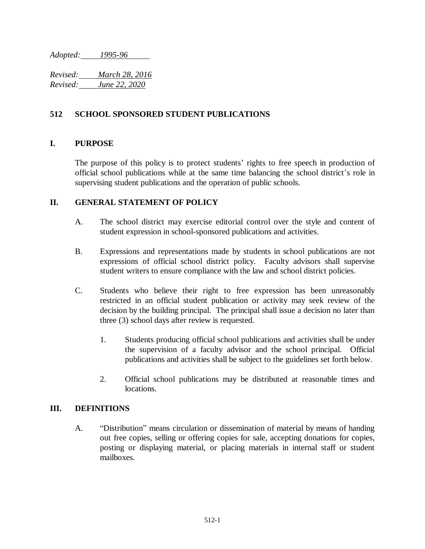*Adopted: 1995-96*

*Revised: March 28, 2016 Revised: June 22, 2020*

## **512 SCHOOL SPONSORED STUDENT PUBLICATIONS**

## **I. PURPOSE**

The purpose of this policy is to protect students' rights to free speech in production of official school publications while at the same time balancing the school district's role in supervising student publications and the operation of public schools.

### **II. GENERAL STATEMENT OF POLICY**

- A. The school district may exercise editorial control over the style and content of student expression in school-sponsored publications and activities.
- B. Expressions and representations made by students in school publications are not expressions of official school district policy. Faculty advisors shall supervise student writers to ensure compliance with the law and school district policies.
- C. Students who believe their right to free expression has been unreasonably restricted in an official student publication or activity may seek review of the decision by the building principal. The principal shall issue a decision no later than three (3) school days after review is requested.
	- 1. Students producing official school publications and activities shall be under the supervision of a faculty advisor and the school principal. Official publications and activities shall be subject to the guidelines set forth below.
	- 2. Official school publications may be distributed at reasonable times and locations.

#### **III. DEFINITIONS**

A. "Distribution" means circulation or dissemination of material by means of handing out free copies, selling or offering copies for sale, accepting donations for copies, posting or displaying material, or placing materials in internal staff or student mailboxes.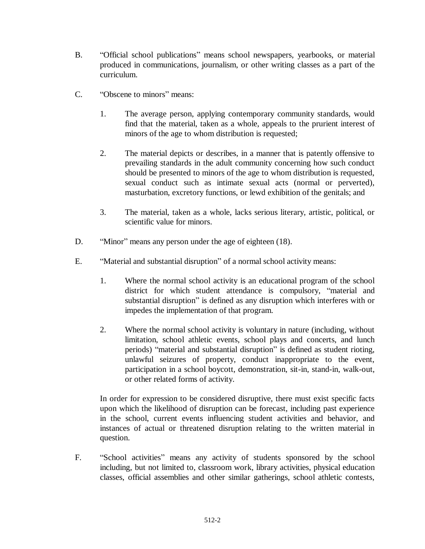- B. "Official school publications" means school newspapers, yearbooks, or material produced in communications, journalism, or other writing classes as a part of the curriculum.
- C. "Obscene to minors" means:
	- 1. The average person, applying contemporary community standards, would find that the material, taken as a whole, appeals to the prurient interest of minors of the age to whom distribution is requested;
	- 2. The material depicts or describes, in a manner that is patently offensive to prevailing standards in the adult community concerning how such conduct should be presented to minors of the age to whom distribution is requested, sexual conduct such as intimate sexual acts (normal or perverted), masturbation, excretory functions, or lewd exhibition of the genitals; and
	- 3. The material, taken as a whole, lacks serious literary, artistic, political, or scientific value for minors.
- D. "Minor" means any person under the age of eighteen (18).
- E. "Material and substantial disruption" of a normal school activity means:
	- 1. Where the normal school activity is an educational program of the school district for which student attendance is compulsory, "material and substantial disruption" is defined as any disruption which interferes with or impedes the implementation of that program.
	- 2. Where the normal school activity is voluntary in nature (including, without limitation, school athletic events, school plays and concerts, and lunch periods) "material and substantial disruption" is defined as student rioting, unlawful seizures of property, conduct inappropriate to the event, participation in a school boycott, demonstration, sit-in, stand-in, walk-out, or other related forms of activity.

In order for expression to be considered disruptive, there must exist specific facts upon which the likelihood of disruption can be forecast, including past experience in the school, current events influencing student activities and behavior, and instances of actual or threatened disruption relating to the written material in question.

F. "School activities" means any activity of students sponsored by the school including, but not limited to, classroom work, library activities, physical education classes, official assemblies and other similar gatherings, school athletic contests,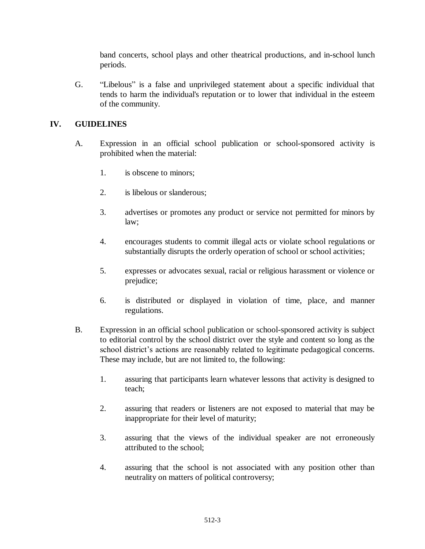band concerts, school plays and other theatrical productions, and in-school lunch periods.

G. "Libelous" is a false and unprivileged statement about a specific individual that tends to harm the individual's reputation or to lower that individual in the esteem of the community.

# **IV. GUIDELINES**

- A. Expression in an official school publication or school-sponsored activity is prohibited when the material:
	- 1. is obscene to minors;
	- 2. is libelous or slanderous;
	- 3. advertises or promotes any product or service not permitted for minors by law;
	- 4. encourages students to commit illegal acts or violate school regulations or substantially disrupts the orderly operation of school or school activities;
	- 5. expresses or advocates sexual, racial or religious harassment or violence or prejudice;
	- 6. is distributed or displayed in violation of time, place, and manner regulations.
- B. Expression in an official school publication or school-sponsored activity is subject to editorial control by the school district over the style and content so long as the school district's actions are reasonably related to legitimate pedagogical concerns. These may include, but are not limited to, the following:
	- 1. assuring that participants learn whatever lessons that activity is designed to teach;
	- 2. assuring that readers or listeners are not exposed to material that may be inappropriate for their level of maturity;
	- 3. assuring that the views of the individual speaker are not erroneously attributed to the school;
	- 4. assuring that the school is not associated with any position other than neutrality on matters of political controversy;